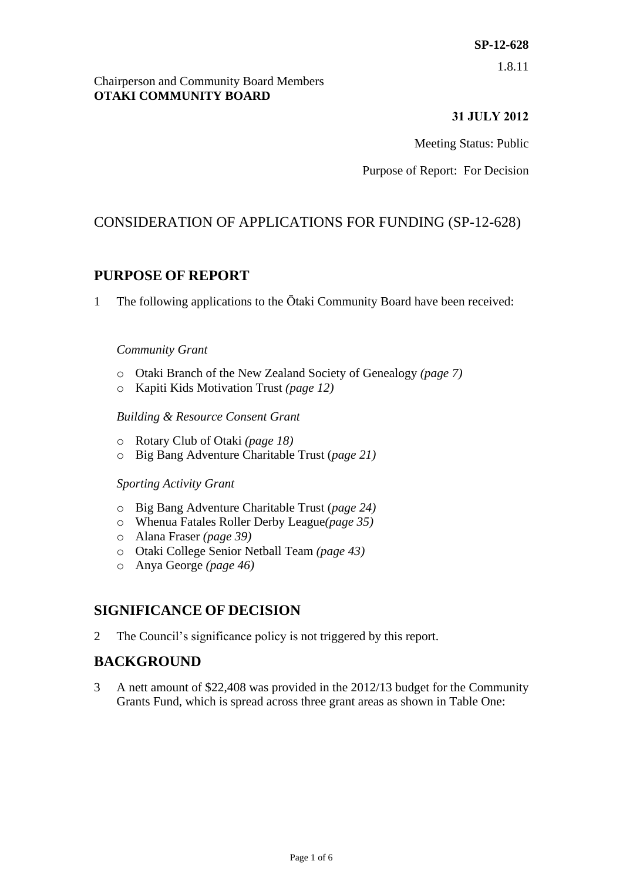# **SP-12-628**

1.8.11

#### Chairperson and Community Board Members **OTAKI COMMUNITY BOARD**

## **31 JULY 2012**

Meeting Status: Public

Purpose of Report: For Decision

# CONSIDERATION OF APPLICATIONS FOR FUNDING (SP-12-628)

# **PURPOSE OF REPORT**

1 The following applications to the Ōtaki Community Board have been received:

#### *Community Grant*

- o Otaki Branch of the New Zealand Society of Genealogy *(page 7)*
- o Kapiti Kids Motivation Trust *(page 12)*

#### *Building & Resource Consent Grant*

- o Rotary Club of Otaki *(page 18)*
- o Big Bang Adventure Charitable Trust (*page 21)*

#### *Sporting Activity Grant*

- o Big Bang Adventure Charitable Trust (*page 24)*
- o Whenua Fatales Roller Derby League*(page 35)*
- o Alana Fraser *(page 39)*
- o Otaki College Senior Netball Team *(page 43)*
- o Anya George *(page 46)*

## **SIGNIFICANCE OF DECISION**

2 The Council's significance policy is not triggered by this report.

# **BACKGROUND**

3 A nett amount of \$22,408 was provided in the 2012/13 budget for the Community Grants Fund, which is spread across three grant areas as shown in Table One: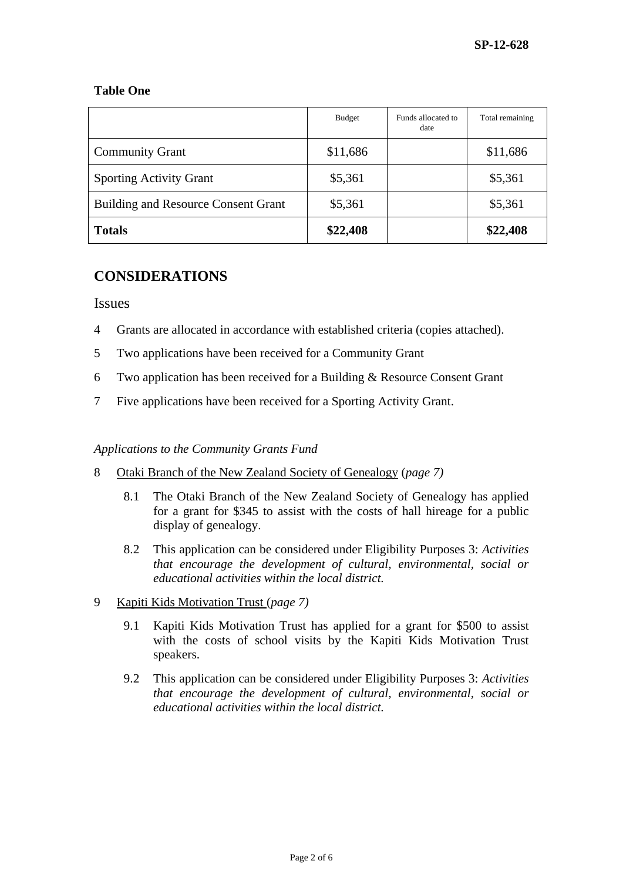#### **Table One**

|                                            | <b>Budget</b> | Funds allocated to<br>date | Total remaining |
|--------------------------------------------|---------------|----------------------------|-----------------|
| <b>Community Grant</b>                     | \$11,686      |                            | \$11,686        |
| <b>Sporting Activity Grant</b>             | \$5,361       |                            | \$5,361         |
| <b>Building and Resource Consent Grant</b> | \$5,361       |                            | \$5,361         |
| <b>Totals</b>                              | \$22,408      |                            | \$22,408        |

# **CONSIDERATIONS**

Issues

- 4 Grants are allocated in accordance with established criteria (copies attached).
- 5 Two applications have been received for a Community Grant
- 6 Two application has been received for a Building & Resource Consent Grant
- 7 Five applications have been received for a Sporting Activity Grant.

#### *Applications to the Community Grants Fund*

- 8 Otaki Branch of the New Zealand Society of Genealogy (*page 7)*
	- 8.1 The Otaki Branch of the New Zealand Society of Genealogy has applied for a grant for \$345 to assist with the costs of hall hireage for a public display of genealogy.
	- 8.2 This application can be considered under Eligibility Purposes 3: *Activities that encourage the development of cultural, environmental, social or educational activities within the local district.*
- 9 Kapiti Kids Motivation Trust (*page 7)*
	- 9.1 Kapiti Kids Motivation Trust has applied for a grant for \$500 to assist with the costs of school visits by the Kapiti Kids Motivation Trust speakers.
	- 9.2 This application can be considered under Eligibility Purposes 3: *Activities that encourage the development of cultural, environmental, social or educational activities within the local district.*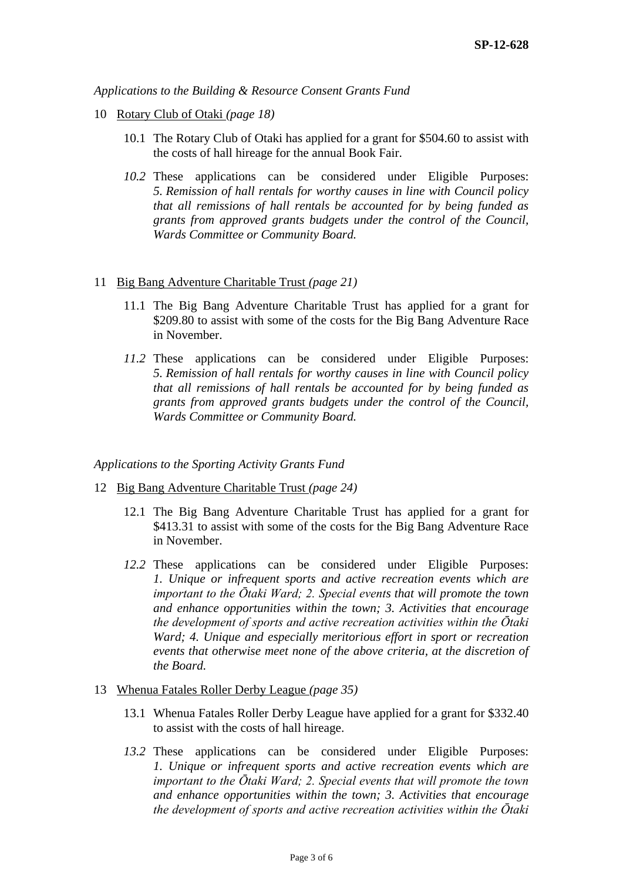*Applications to the Building & Resource Consent Grants Fund*

- 10 Rotary Club of Otaki *(page 18)*
	- 10.1 The Rotary Club of Otaki has applied for a grant for \$504.60 to assist with the costs of hall hireage for the annual Book Fair.
	- *10.2* These applications can be considered under Eligible Purposes: *5. Remission of hall rentals for worthy causes in line with Council policy that all remissions of hall rentals be accounted for by being funded as grants from approved grants budgets under the control of the Council, Wards Committee or Community Board.*
- 11 Big Bang Adventure Charitable Trust *(page 21)*
	- 11.1 The Big Bang Adventure Charitable Trust has applied for a grant for \$209.80 to assist with some of the costs for the Big Bang Adventure Race in November.
	- *11.2* These applications can be considered under Eligible Purposes: *5. Remission of hall rentals for worthy causes in line with Council policy that all remissions of hall rentals be accounted for by being funded as grants from approved grants budgets under the control of the Council, Wards Committee or Community Board.*

*Applications to the Sporting Activity Grants Fund*

- 12 Big Bang Adventure Charitable Trust *(page 24)*
	- 12.1 The Big Bang Adventure Charitable Trust has applied for a grant for \$413.31 to assist with some of the costs for the Big Bang Adventure Race in November.
	- *12.2* These applications can be considered under Eligible Purposes: *1. Unique or infrequent sports and active recreation events which are important to the Ōtaki Ward; 2. Special events that will promote the town and enhance opportunities within the town; 3. Activities that encourage the development of sports and active recreation activities within the Ōtaki Ward; 4. Unique and especially meritorious effort in sport or recreation events that otherwise meet none of the above criteria, at the discretion of the Board.*

#### 13 Whenua Fatales Roller Derby League *(page 35)*

- 13.1 Whenua Fatales Roller Derby League have applied for a grant for \$332.40 to assist with the costs of hall hireage.
- *13.2* These applications can be considered under Eligible Purposes: *1. Unique or infrequent sports and active recreation events which are important to the Ōtaki Ward; 2. Special events that will promote the town and enhance opportunities within the town; 3. Activities that encourage the development of sports and active recreation activities within the Ōtaki*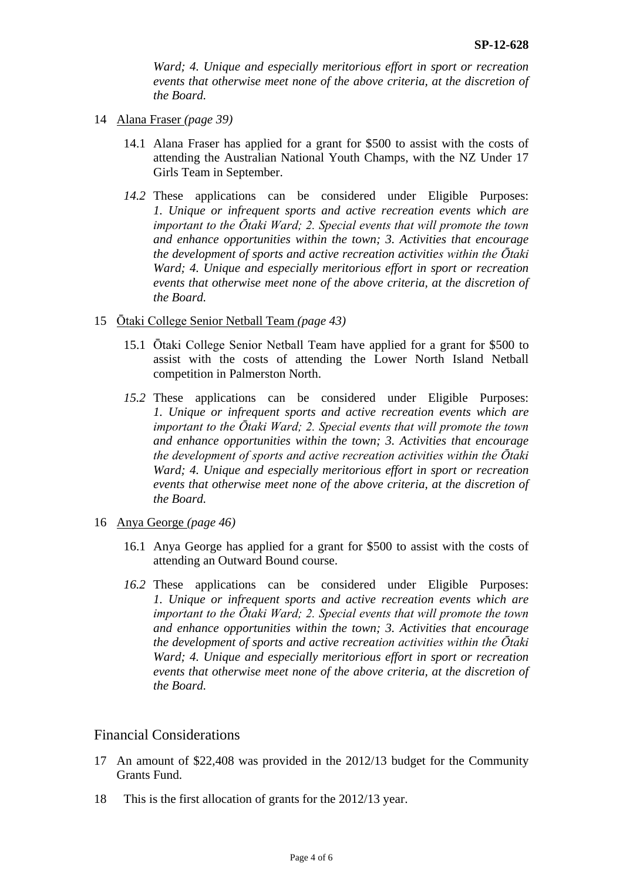*Ward; 4. Unique and especially meritorious effort in sport or recreation events that otherwise meet none of the above criteria, at the discretion of the Board.*

- 14 Alana Fraser *(page 39)*
	- 14.1 Alana Fraser has applied for a grant for \$500 to assist with the costs of attending the Australian National Youth Champs, with the NZ Under 17 Girls Team in September.
	- *14.2* These applications can be considered under Eligible Purposes: *1. Unique or infrequent sports and active recreation events which are important to the Ōtaki Ward; 2. Special events that will promote the town and enhance opportunities within the town; 3. Activities that encourage the development of sports and active recreation activities within the Ōtaki Ward; 4. Unique and especially meritorious effort in sport or recreation events that otherwise meet none of the above criteria, at the discretion of the Board.*
- 15 Ōtaki College Senior Netball Team *(page 43)*
	- 15.1 Ōtaki College Senior Netball Team have applied for a grant for \$500 to assist with the costs of attending the Lower North Island Netball competition in Palmerston North.
	- *15.2* These applications can be considered under Eligible Purposes: *1. Unique or infrequent sports and active recreation events which are important to the Ōtaki Ward; 2. Special events that will promote the town and enhance opportunities within the town; 3. Activities that encourage the development of sports and active recreation activities within the Ōtaki Ward; 4. Unique and especially meritorious effort in sport or recreation events that otherwise meet none of the above criteria, at the discretion of the Board.*
- 16 Anya George *(page 46)*
	- 16.1 Anya George has applied for a grant for \$500 to assist with the costs of attending an Outward Bound course.
	- *16.2* These applications can be considered under Eligible Purposes: *1. Unique or infrequent sports and active recreation events which are important to the Ōtaki Ward; 2. Special events that will promote the town and enhance opportunities within the town; 3. Activities that encourage the development of sports and active recreation activities within the Ōtaki Ward; 4. Unique and especially meritorious effort in sport or recreation events that otherwise meet none of the above criteria, at the discretion of the Board.*

## Financial Considerations

- 17 An amount of \$22,408 was provided in the 2012/13 budget for the Community Grants Fund.
- 18 This is the first allocation of grants for the 2012/13 year.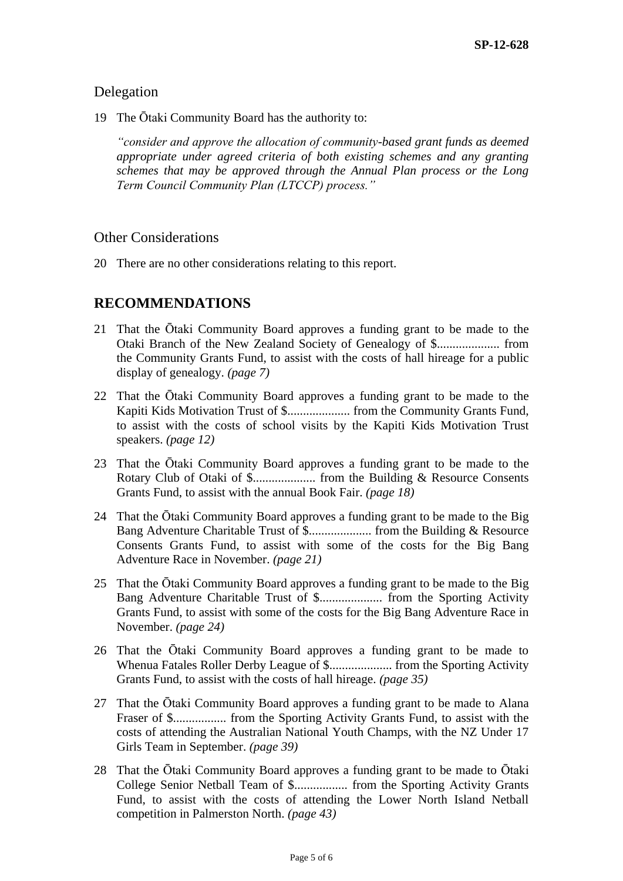## Delegation

19 The Ōtaki Community Board has the authority to:

*"consider and approve the allocation of community-based grant funds as deemed appropriate under agreed criteria of both existing schemes and any granting schemes that may be approved through the Annual Plan process or the Long Term Council Community Plan (LTCCP) process."*

## Other Considerations

20 There are no other considerations relating to this report.

# **RECOMMENDATIONS**

- 21 That the Ōtaki Community Board approves a funding grant to be made to the Otaki Branch of the New Zealand Society of Genealogy of \$.................... from the Community Grants Fund, to assist with the costs of hall hireage for a public display of genealogy. *(page 7)*
- 22 That the Ōtaki Community Board approves a funding grant to be made to the Kapiti Kids Motivation Trust of \$.................... from the Community Grants Fund, to assist with the costs of school visits by the Kapiti Kids Motivation Trust speakers. *(page 12)*
- 23 That the Ōtaki Community Board approves a funding grant to be made to the Rotary Club of Otaki of \$.................... from the Building & Resource Consents Grants Fund, to assist with the annual Book Fair. *(page 18)*
- 24 That the Ōtaki Community Board approves a funding grant to be made to the Big Bang Adventure Charitable Trust of \$.................... from the Building & Resource Consents Grants Fund, to assist with some of the costs for the Big Bang Adventure Race in November. *(page 21)*
- 25 That the Ōtaki Community Board approves a funding grant to be made to the Big Bang Adventure Charitable Trust of \$.................... from the Sporting Activity Grants Fund, to assist with some of the costs for the Big Bang Adventure Race in November. *(page 24)*
- 26 That the Ōtaki Community Board approves a funding grant to be made to Whenua Fatales Roller Derby League of \$.................... from the Sporting Activity Grants Fund, to assist with the costs of hall hireage. *(page 35)*
- 27 That the Ōtaki Community Board approves a funding grant to be made to Alana Fraser of \$................. from the Sporting Activity Grants Fund, to assist with the costs of attending the Australian National Youth Champs, with the NZ Under 17 Girls Team in September. *(page 39)*
- 28 That the Ōtaki Community Board approves a funding grant to be made to Ōtaki College Senior Netball Team of \$................. from the Sporting Activity Grants Fund, to assist with the costs of attending the Lower North Island Netball competition in Palmerston North. *(page 43)*